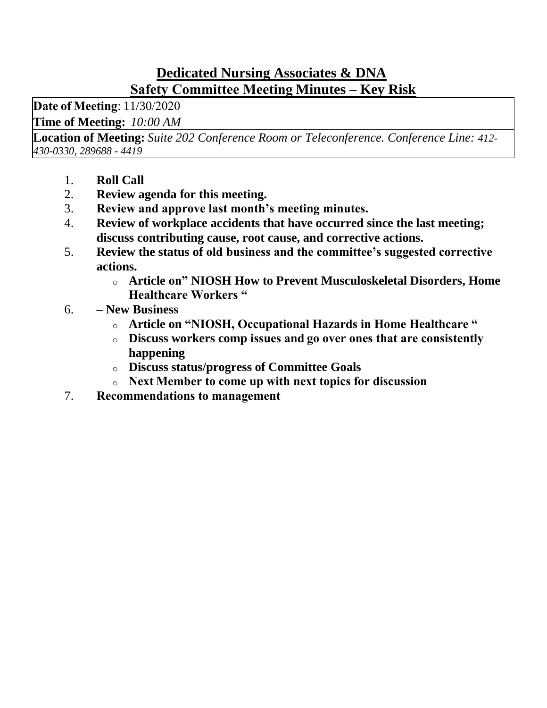## **Dedicated Nursing Associates & DNA Safety Committee Meeting Minutes – Key Risk**

**Date of Meeting**: 11/30/2020 

**Time of Meeting:***10:00 AM*

**Location of Meeting:** *Suite 202 Conference Room or Teleconference. Conference Line: 412- 430-0330, 289688 - 4419*

- 1. **Roll Call**
- 2. **Review agenda for this meeting.**
- 3. **Review and approve last month's meeting minutes.**
- 4. **Review of workplace accidents that have occurred since the last meeting; discuss contributing cause, root cause, and corrective actions.**
- 5. **Review the status of old business and the committee's suggested corrective actions.**
	- o **Article on" NIOSH How to Prevent Musculoskeletal Disorders, Home Healthcare Workers "**
- 6. **– New Business**
	- o **Article on "NIOSH, Occupational Hazards in Home Healthcare "**
	- o **Discuss workers comp issues and go over ones that are consistently happening**
	- o **Discuss status/progress of Committee Goals**
	- o **Next Member to come up with next topics for discussion**
- 7. **Recommendations to management**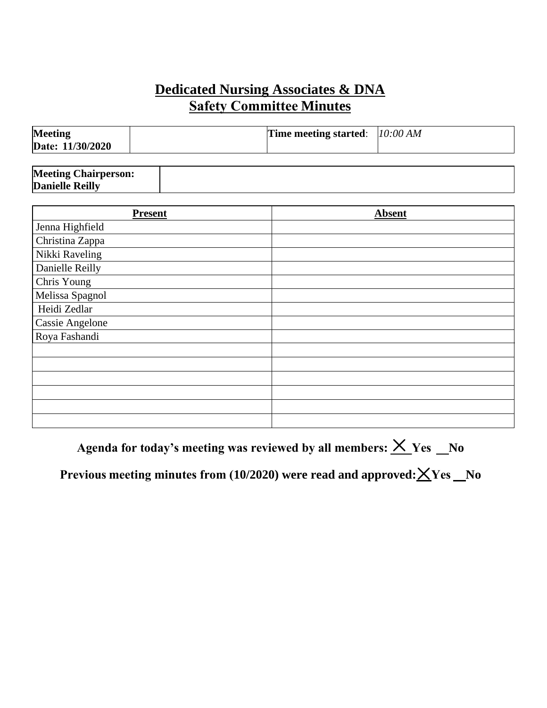## **Dedicated Nursing Associates & DNA Safety Committee Minutes**

| <b>Meeting</b><br>Date: 11/30/2020 | Time meeting started: $10:00 AM$ |  |
|------------------------------------|----------------------------------|--|
|                                    |                                  |  |

| <b>Meeting Chairperson:</b> |  |
|-----------------------------|--|
| <b>Danielle Reilly</b>      |  |

| <b>Present</b>         | <b>Absent</b> |
|------------------------|---------------|
| Jenna Highfield        |               |
| Christina Zappa        |               |
| Nikki Raveling         |               |
| Danielle Reilly        |               |
| Chris Young            |               |
| Melissa Spagnol        |               |
| Heidi Zedlar           |               |
| <b>Cassie Angelone</b> |               |
| Roya Fashandi          |               |
|                        |               |
|                        |               |
|                        |               |
|                        |               |
|                        |               |
|                        |               |

Agenda for today's meeting was reviewed by all members:  $\times$  Yes No

Previous meeting minutes from (10/2020) were read and approved:  $\times$  Yes \_No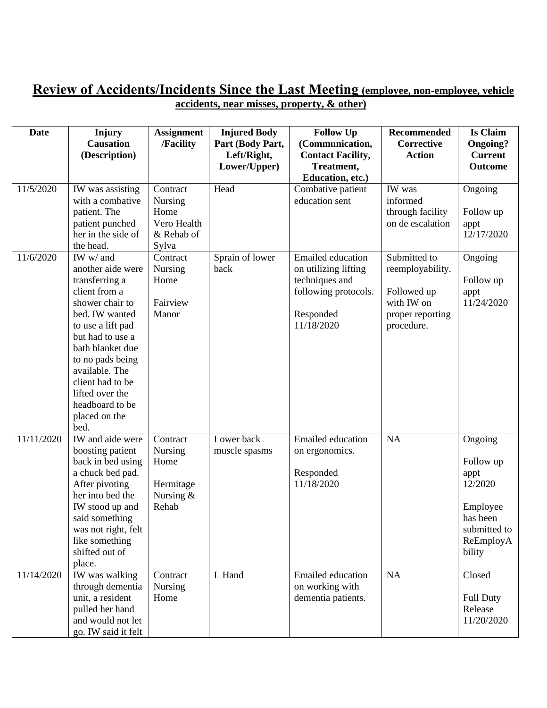#### **Review of Accidents/Incidents Since the Last Meeting (employee, non-employee, vehicle accidents, near misses, property, & other)**

| <b>Date</b> | Injury<br><b>Causation</b><br>(Description)                                                                                                                                                                                                                                                  | <b>Assignment</b><br>/Facility                                    | <b>Injured Body</b><br>Part (Body Part,<br>Left/Right, | <b>Follow Up</b><br>(Communication,<br><b>Contact Facility,</b>                                                       | <b>Recommended</b><br>Corrective<br><b>Action</b>                                               | <b>Is Claim</b><br>Ongoing?<br><b>Current</b>                                                          |
|-------------|----------------------------------------------------------------------------------------------------------------------------------------------------------------------------------------------------------------------------------------------------------------------------------------------|-------------------------------------------------------------------|--------------------------------------------------------|-----------------------------------------------------------------------------------------------------------------------|-------------------------------------------------------------------------------------------------|--------------------------------------------------------------------------------------------------------|
|             |                                                                                                                                                                                                                                                                                              |                                                                   | Lower/Upper)                                           | Treatment,<br>Education, etc.)                                                                                        |                                                                                                 | Outcome                                                                                                |
| 11/5/2020   | IW was assisting<br>with a combative<br>patient. The<br>patient punched<br>her in the side of<br>the head.                                                                                                                                                                                   | Contract<br>Nursing<br>Home<br>Vero Health<br>& Rehab of<br>Sylva | Head                                                   | Combative patient<br>education sent                                                                                   | IW was<br>informed<br>through facility<br>on de escalation                                      | Ongoing<br>Follow up<br>appt<br>12/17/2020                                                             |
| 11/6/2020   | IW w/ and<br>another aide were<br>transferring a<br>client from a<br>shower chair to<br>bed. IW wanted<br>to use a lift pad<br>but had to use a<br>bath blanket due<br>to no pads being<br>available. The<br>client had to be<br>lifted over the<br>headboard to be<br>placed on the<br>bed. | Contract<br><b>Nursing</b><br>Home<br>Fairview<br>Manor           | Sprain of lower<br>back                                | <b>Emailed</b> education<br>on utilizing lifting<br>techniques and<br>following protocols.<br>Responded<br>11/18/2020 | Submitted to<br>reemployability.<br>Followed up<br>with IW on<br>proper reporting<br>procedure. | Ongoing<br>Follow up<br>appt<br>11/24/2020                                                             |
| 11/11/2020  | IW and aide were<br>boosting patient<br>back in bed using<br>a chuck bed pad.<br>After pivoting<br>her into bed the<br>IW stood up and<br>said something<br>was not right, felt<br>like something<br>shifted out of<br>place.                                                                | Contract<br>Nursing<br>Home<br>Hermitage<br>Nursing $&$<br>Rehab  | Lower back<br>muscle spasms                            | <b>Emailed</b> education<br>on ergonomics.<br>Responded<br>11/18/2020                                                 | NA                                                                                              | Ongoing<br>Follow up<br>appt<br>12/2020<br>Employee<br>has been<br>submitted to<br>ReEmployA<br>bility |
| 11/14/2020  | IW was walking<br>through dementia<br>unit, a resident<br>pulled her hand<br>and would not let<br>go. IW said it felt                                                                                                                                                                        | Contract<br><b>Nursing</b><br>Home                                | L Hand                                                 | <b>Emailed</b> education<br>on working with<br>dementia patients.                                                     | NA                                                                                              | Closed<br><b>Full Duty</b><br>Release<br>11/20/2020                                                    |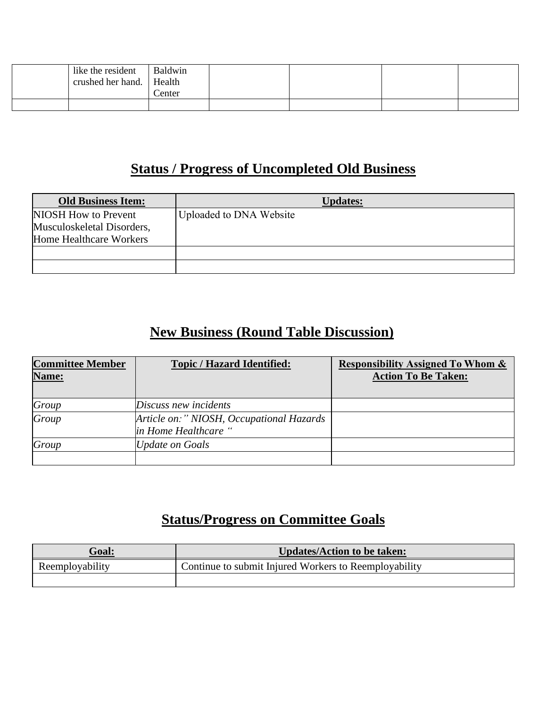| like the resident | Baldwin |  |  |
|-------------------|---------|--|--|
| crushed her hand. | Health  |  |  |
|                   | Center  |  |  |
|                   |         |  |  |

# **Status / Progress of Uncompleted Old Business**

| <b>Old Business Item:</b>                                                     | <b>Updates:</b>         |
|-------------------------------------------------------------------------------|-------------------------|
| NIOSH How to Prevent<br>Musculoskeletal Disorders,<br>Home Healthcare Workers | Uploaded to DNA Website |
|                                                                               |                         |

# **New Business (Round Table Discussion)**

| <b>Committee Member</b><br>Name: | <b>Topic / Hazard Identified:</b>                                | <b>Responsibility Assigned To Whom &amp;</b><br><b>Action To Be Taken:</b> |
|----------------------------------|------------------------------------------------------------------|----------------------------------------------------------------------------|
| Group                            | Discuss new incidents                                            |                                                                            |
| Group                            | Article on:" NIOSH, Occupational Hazards<br>in Home Healthcare " |                                                                            |
| Group                            | <b>Update on Goals</b>                                           |                                                                            |
|                                  |                                                                  |                                                                            |

# **Status/Progress on Committee Goals**

| <b>Goal:</b>    | <b>Updates/Action to be taken:</b>                    |
|-----------------|-------------------------------------------------------|
| Reemployability | Continue to submit Injured Workers to Reemployability |
|                 |                                                       |